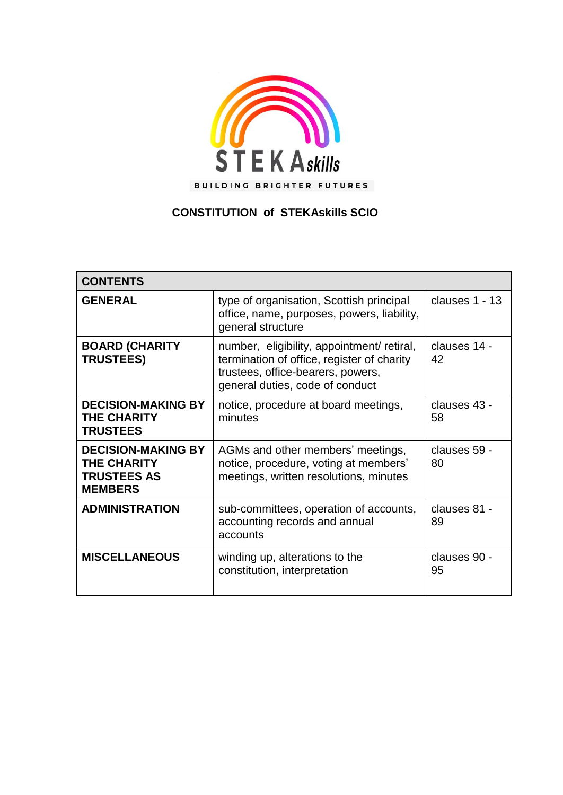

# **CONSTITUTION of STEKAskills SCIO**

| <b>CONTENTS</b>                                                                  |                                                                                                                                                                  |                    |
|----------------------------------------------------------------------------------|------------------------------------------------------------------------------------------------------------------------------------------------------------------|--------------------|
| <b>GENERAL</b>                                                                   | type of organisation, Scottish principal<br>office, name, purposes, powers, liability,<br>general structure                                                      | clauses 1 - 13     |
| <b>BOARD (CHARITY</b><br><b>TRUSTEES)</b>                                        | number, eligibility, appointment/ retiral,<br>termination of office, register of charity<br>trustees, office-bearers, powers,<br>general duties, code of conduct | clauses 14 -<br>42 |
| <b>DECISION-MAKING BY</b><br><b>THE CHARITY</b><br><b>TRUSTEES</b>               | notice, procedure at board meetings,<br>minutes                                                                                                                  | clauses 43 -<br>58 |
| <b>DECISION-MAKING BY</b><br>THE CHARITY<br><b>TRUSTEES AS</b><br><b>MEMBERS</b> | AGMs and other members' meetings,<br>notice, procedure, voting at members'<br>meetings, written resolutions, minutes                                             | clauses 59 -<br>80 |
| <b>ADMINISTRATION</b>                                                            | sub-committees, operation of accounts,<br>accounting records and annual<br>accounts                                                                              | clauses 81 -<br>89 |
| <b>MISCELLANEOUS</b>                                                             | winding up, alterations to the<br>constitution, interpretation                                                                                                   | clauses 90 -<br>95 |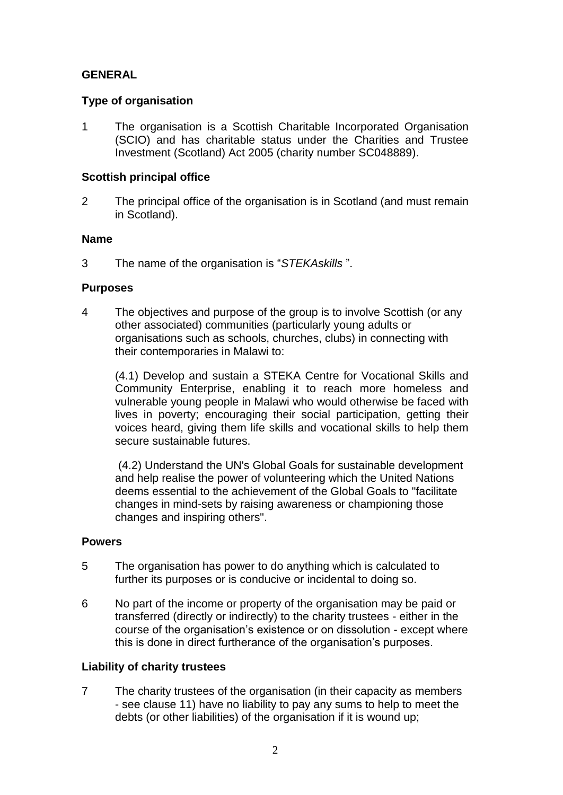# **GENERAL**

### **Type of organisation**

1 The organisation is a Scottish Charitable Incorporated Organisation (SCIO) and has charitable status under the Charities and Trustee Investment (Scotland) Act 2005 (charity number SC048889).

# **Scottish principal office**

2 The principal office of the organisation is in Scotland (and must remain in Scotland).

### **Name**

3 The name of the organisation is "*STEKAskills* ".

# **Purposes**

4 The objectives and purpose of the group is to involve Scottish (or any other associated) communities (particularly young adults or organisations such as schools, churches, clubs) in connecting with their contemporaries in Malawi to:

(4.1) Develop and sustain a STEKA Centre for Vocational Skills and Community Enterprise, enabling it to reach more homeless and vulnerable young people in Malawi who would otherwise be faced with lives in poverty; encouraging their social participation, getting their voices heard, giving them life skills and vocational skills to help them secure sustainable futures.

(4.2) Understand the UN's Global Goals for sustainable development and help realise the power of volunteering which the United Nations deems essential to the achievement of the Global Goals to "facilitate changes in mind-sets by raising awareness or championing those changes and inspiring others".

### **Powers**

- 5 The organisation has power to do anything which is calculated to further its purposes or is conducive or incidental to doing so.
- 6 No part of the income or property of the organisation may be paid or transferred (directly or indirectly) to the charity trustees - either in the course of the organisation's existence or on dissolution - except where this is done in direct furtherance of the organisation's purposes.

# **Liability of charity trustees**

7 The charity trustees of the organisation (in their capacity as members - see clause 11) have no liability to pay any sums to help to meet the debts (or other liabilities) of the organisation if it is wound up;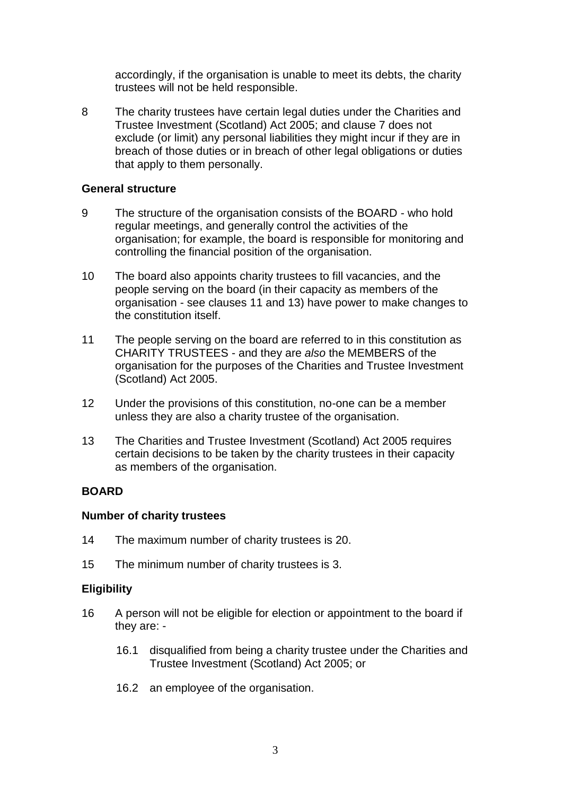accordingly, if the organisation is unable to meet its debts, the charity trustees will not be held responsible.

8 The charity trustees have certain legal duties under the Charities and Trustee Investment (Scotland) Act 2005; and clause 7 does not exclude (or limit) any personal liabilities they might incur if they are in breach of those duties or in breach of other legal obligations or duties that apply to them personally.

#### **General structure**

- 9 The structure of the organisation consists of the BOARD who hold regular meetings, and generally control the activities of the organisation; for example, the board is responsible for monitoring and controlling the financial position of the organisation.
- 10 The board also appoints charity trustees to fill vacancies, and the people serving on the board (in their capacity as members of the organisation - see clauses 11 and 13) have power to make changes to the constitution itself.
- 11 The people serving on the board are referred to in this constitution as CHARITY TRUSTEES - and they are *also* the MEMBERS of the organisation for the purposes of the Charities and Trustee Investment (Scotland) Act 2005.
- 12 Under the provisions of this constitution, no-one can be a member unless they are also a charity trustee of the organisation.
- 13 The Charities and Trustee Investment (Scotland) Act 2005 requires certain decisions to be taken by the charity trustees in their capacity as members of the organisation.

### **BOARD**

#### **Number of charity trustees**

- 14 The maximum number of charity trustees is 20.
- 15 The minimum number of charity trustees is 3.

### **Eligibility**

- 16 A person will not be eligible for election or appointment to the board if they are: -
	- 16.1 disqualified from being a charity trustee under the Charities and Trustee Investment (Scotland) Act 2005; or
	- 16.2 an employee of the organisation.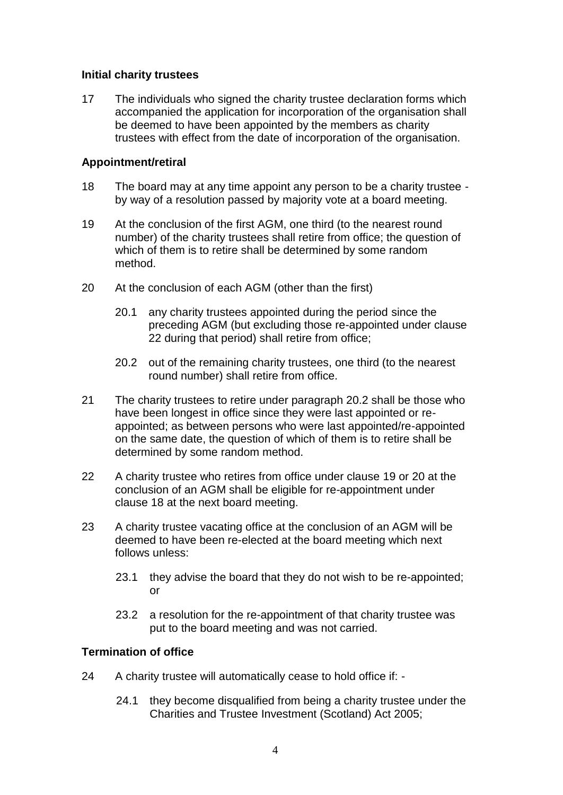### **Initial charity trustees**

17 The individuals who signed the charity trustee declaration forms which accompanied the application for incorporation of the organisation shall be deemed to have been appointed by the members as charity trustees with effect from the date of incorporation of the organisation.

### **Appointment/retiral**

- 18 The board may at any time appoint any person to be a charity trustee by way of a resolution passed by majority vote at a board meeting.
- 19 At the conclusion of the first AGM, one third (to the nearest round number) of the charity trustees shall retire from office; the question of which of them is to retire shall be determined by some random method.
- 20 At the conclusion of each AGM (other than the first)
	- 20.1 any charity trustees appointed during the period since the preceding AGM (but excluding those re-appointed under clause 22 during that period) shall retire from office;
	- 20.2 out of the remaining charity trustees, one third (to the nearest round number) shall retire from office.
- 21 The charity trustees to retire under paragraph 20.2 shall be those who have been longest in office since they were last appointed or reappointed; as between persons who were last appointed/re-appointed on the same date, the question of which of them is to retire shall be determined by some random method.
- 22 A charity trustee who retires from office under clause 19 or 20 at the conclusion of an AGM shall be eligible for re-appointment under clause 18 at the next board meeting.
- 23 A charity trustee vacating office at the conclusion of an AGM will be deemed to have been re-elected at the board meeting which next follows unless:
	- 23.1 they advise the board that they do not wish to be re-appointed; or
	- 23.2 a resolution for the re-appointment of that charity trustee was put to the board meeting and was not carried.

### **Termination of office**

- 24 A charity trustee will automatically cease to hold office if:
	- 24.1 they become disqualified from being a charity trustee under the Charities and Trustee Investment (Scotland) Act 2005;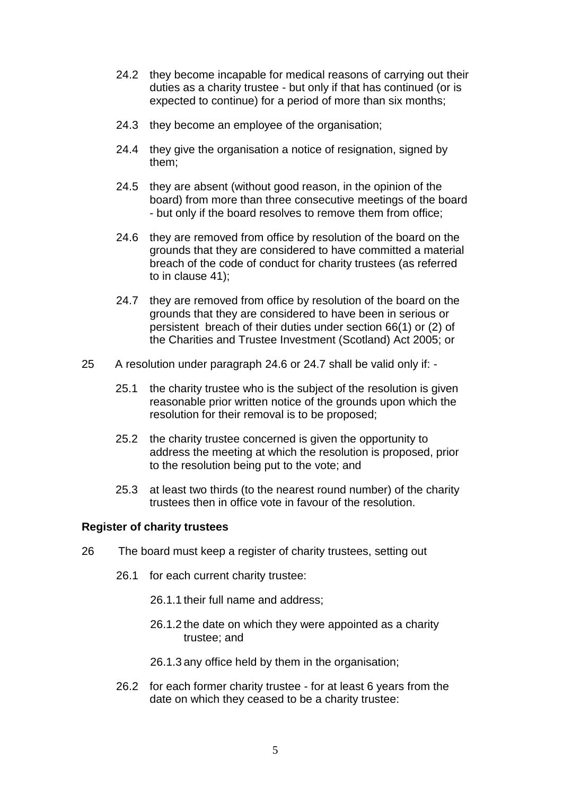- 24.2 they become incapable for medical reasons of carrying out their duties as a charity trustee - but only if that has continued (or is expected to continue) for a period of more than six months;
- 24.3 they become an employee of the organisation;
- 24.4 they give the organisation a notice of resignation, signed by them;
- 24.5 they are absent (without good reason, in the opinion of the board) from more than three consecutive meetings of the board - but only if the board resolves to remove them from office;
- 24.6 they are removed from office by resolution of the board on the grounds that they are considered to have committed a material breach of the code of conduct for charity trustees (as referred to in clause 41);
- 24.7 they are removed from office by resolution of the board on the grounds that they are considered to have been in serious or persistent breach of their duties under section 66(1) or (2) of the Charities and Trustee Investment (Scotland) Act 2005; or
- 25 A resolution under paragraph 24.6 or 24.7 shall be valid only if:
	- 25.1 the charity trustee who is the subject of the resolution is given reasonable prior written notice of the grounds upon which the resolution for their removal is to be proposed;
	- 25.2 the charity trustee concerned is given the opportunity to address the meeting at which the resolution is proposed, prior to the resolution being put to the vote; and
	- 25.3 at least two thirds (to the nearest round number) of the charity trustees then in office vote in favour of the resolution.

### **Register of charity trustees**

- 26 The board must keep a register of charity trustees, setting out
	- 26.1 for each current charity trustee:
		- 26.1.1 their full name and address;
		- 26.1.2 the date on which they were appointed as a charity trustee; and
		- 26.1.3 any office held by them in the organisation;
	- 26.2 for each former charity trustee for at least 6 years from the date on which they ceased to be a charity trustee: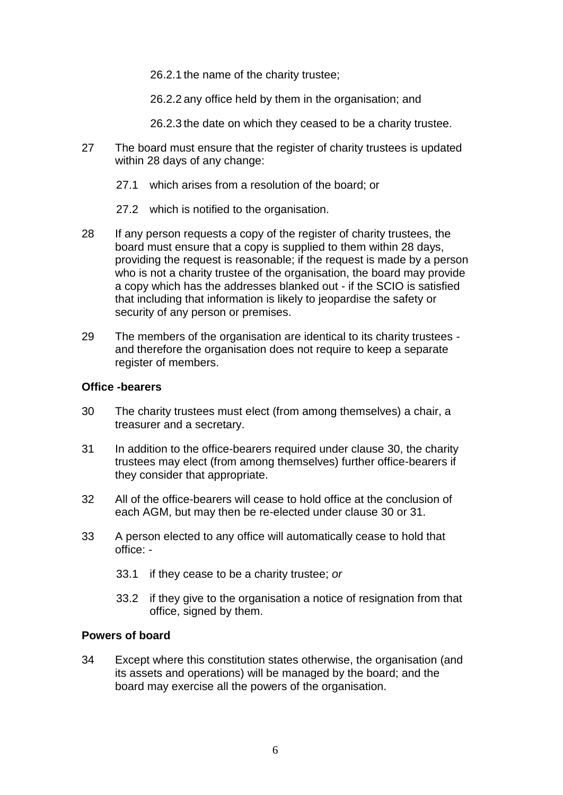26.2.1 the name of the charity trustee;

26.2.2 any office held by them in the organisation; and

- 26.2.3 the date on which they ceased to be a charity trustee.
- 27 The board must ensure that the register of charity trustees is updated within 28 days of any change:
	- 27.1 which arises from a resolution of the board; or
	- 27.2 which is notified to the organisation.
- 28 If any person requests a copy of the register of charity trustees, the board must ensure that a copy is supplied to them within 28 days, providing the request is reasonable; if the request is made by a person who is not a charity trustee of the organisation, the board may provide a copy which has the addresses blanked out - if the SCIO is satisfied that including that information is likely to jeopardise the safety or security of any person or premises.
- 29 The members of the organisation are identical to its charity trustees and therefore the organisation does not require to keep a separate register of members.

### **Office -bearers**

- 30 The charity trustees must elect (from among themselves) a chair, a treasurer and a secretary.
- 31 In addition to the office-bearers required under clause 30, the charity trustees may elect (from among themselves) further office-bearers if they consider that appropriate.
- 32 All of the office-bearers will cease to hold office at the conclusion of each AGM, but may then be re-elected under clause 30 or 31.
- 33 A person elected to any office will automatically cease to hold that office: -
	- 33.1 if they cease to be a charity trustee; *or*
	- 33.2 if they give to the organisation a notice of resignation from that office, signed by them.

### **Powers of board**

34 Except where this constitution states otherwise, the organisation (and its assets and operations) will be managed by the board; and the board may exercise all the powers of the organisation.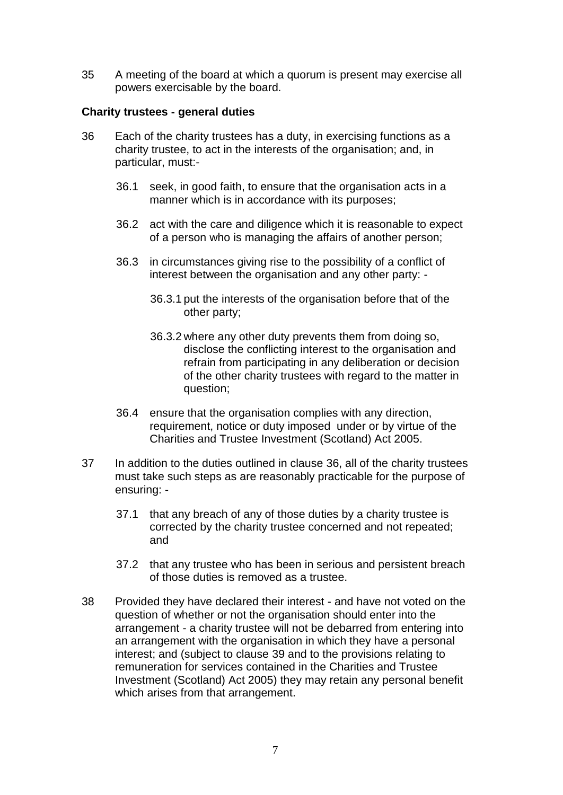35 A meeting of the board at which a quorum is present may exercise all powers exercisable by the board.

#### **Charity trustees - general duties**

- 36 Each of the charity trustees has a duty, in exercising functions as a charity trustee, to act in the interests of the organisation; and, in particular, must:-
	- 36.1 seek, in good faith, to ensure that the organisation acts in a manner which is in accordance with its purposes;
	- 36.2 act with the care and diligence which it is reasonable to expect of a person who is managing the affairs of another person;
	- 36.3 in circumstances giving rise to the possibility of a conflict of interest between the organisation and any other party: -
		- 36.3.1 put the interests of the organisation before that of the other party;
		- 36.3.2 where any other duty prevents them from doing so, disclose the conflicting interest to the organisation and refrain from participating in any deliberation or decision of the other charity trustees with regard to the matter in question;
	- 36.4 ensure that the organisation complies with any direction, requirement, notice or duty imposed under or by virtue of the Charities and Trustee Investment (Scotland) Act 2005.
- 37 In addition to the duties outlined in clause 36, all of the charity trustees must take such steps as are reasonably practicable for the purpose of ensuring: -
	- 37.1 that any breach of any of those duties by a charity trustee is corrected by the charity trustee concerned and not repeated; and
	- 37.2 that any trustee who has been in serious and persistent breach of those duties is removed as a trustee.
- 38 Provided they have declared their interest and have not voted on the question of whether or not the organisation should enter into the arrangement - a charity trustee will not be debarred from entering into an arrangement with the organisation in which they have a personal interest; and (subject to clause 39 and to the provisions relating to remuneration for services contained in the Charities and Trustee Investment (Scotland) Act 2005) they may retain any personal benefit which arises from that arrangement.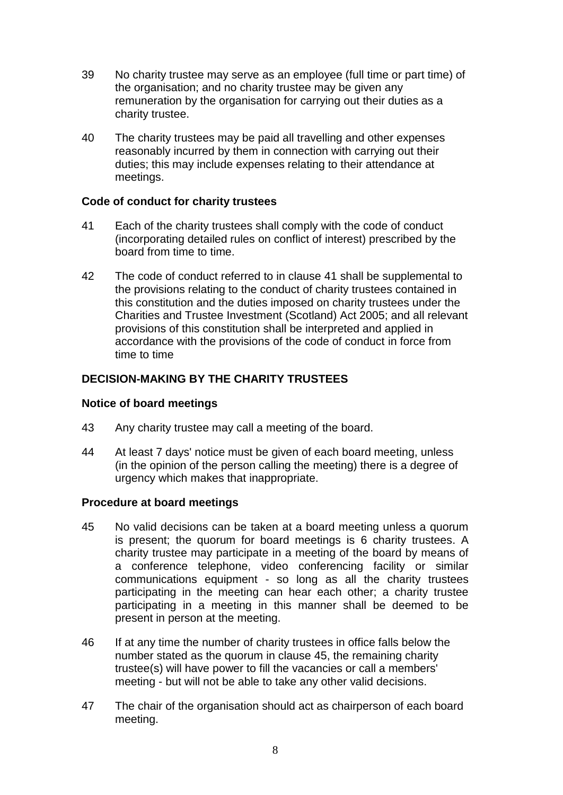- 39 No charity trustee may serve as an employee (full time or part time) of the organisation; and no charity trustee may be given any remuneration by the organisation for carrying out their duties as a charity trustee.
- 40 The charity trustees may be paid all travelling and other expenses reasonably incurred by them in connection with carrying out their duties; this may include expenses relating to their attendance at meetings.

#### **Code of conduct for charity trustees**

- 41 Each of the charity trustees shall comply with the code of conduct (incorporating detailed rules on conflict of interest) prescribed by the board from time to time.
- 42 The code of conduct referred to in clause 41 shall be supplemental to the provisions relating to the conduct of charity trustees contained in this constitution and the duties imposed on charity trustees under the Charities and Trustee Investment (Scotland) Act 2005; and all relevant provisions of this constitution shall be interpreted and applied in accordance with the provisions of the code of conduct in force from time to time

# **DECISION-MAKING BY THE CHARITY TRUSTEES**

#### **Notice of board meetings**

- 43 Any charity trustee may call a meeting of the board.
- 44 At least 7 days' notice must be given of each board meeting, unless (in the opinion of the person calling the meeting) there is a degree of urgency which makes that inappropriate.

#### **Procedure at board meetings**

- 45 No valid decisions can be taken at a board meeting unless a quorum is present; the quorum for board meetings is 6 charity trustees. A charity trustee may participate in a meeting of the board by means of a conference telephone, video conferencing facility or similar communications equipment - so long as all the charity trustees participating in the meeting can hear each other; a charity trustee participating in a meeting in this manner shall be deemed to be present in person at the meeting.
- 46 If at any time the number of charity trustees in office falls below the number stated as the quorum in clause 45, the remaining charity trustee(s) will have power to fill the vacancies or call a members' meeting - but will not be able to take any other valid decisions.
- 47 The chair of the organisation should act as chairperson of each board meeting.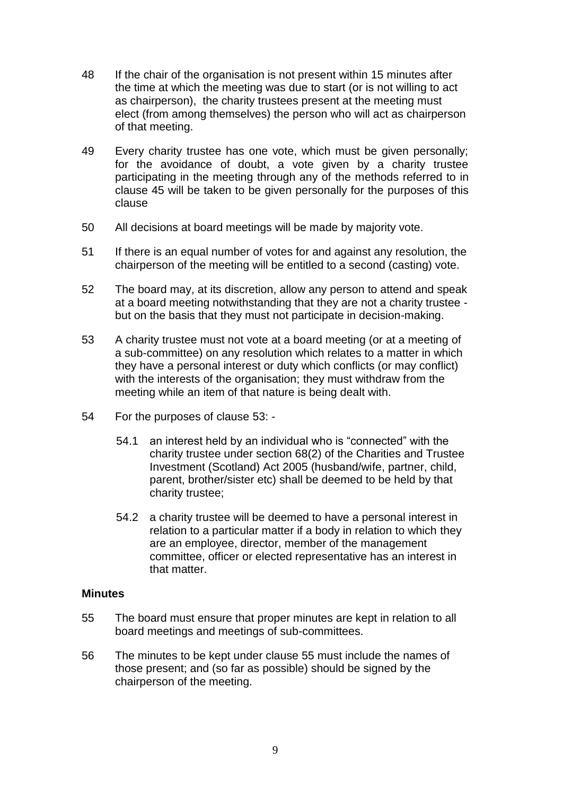- 48 If the chair of the organisation is not present within 15 minutes after the time at which the meeting was due to start (or is not willing to act as chairperson), the charity trustees present at the meeting must elect (from among themselves) the person who will act as chairperson of that meeting.
- 49 Every charity trustee has one vote, which must be given personally; for the avoidance of doubt, a vote given by a charity trustee participating in the meeting through any of the methods referred to in clause 45 will be taken to be given personally for the purposes of this clause
- 50 All decisions at board meetings will be made by majority vote.
- 51 If there is an equal number of votes for and against any resolution, the chairperson of the meeting will be entitled to a second (casting) vote.
- 52 The board may, at its discretion, allow any person to attend and speak at a board meeting notwithstanding that they are not a charity trustee but on the basis that they must not participate in decision-making.
- 53 A charity trustee must not vote at a board meeting (or at a meeting of a sub-committee) on any resolution which relates to a matter in which they have a personal interest or duty which conflicts (or may conflict) with the interests of the organisation; they must withdraw from the meeting while an item of that nature is being dealt with.
- 54 For the purposes of clause 53:
	- 54.1 an interest held by an individual who is "connected" with the charity trustee under section 68(2) of the Charities and Trustee Investment (Scotland) Act 2005 (husband/wife, partner, child, parent, brother/sister etc) shall be deemed to be held by that charity trustee;
	- 54.2 a charity trustee will be deemed to have a personal interest in relation to a particular matter if a body in relation to which they are an employee, director, member of the management committee, officer or elected representative has an interest in that matter.

### **Minutes**

- 55 The board must ensure that proper minutes are kept in relation to all board meetings and meetings of sub-committees.
- 56 The minutes to be kept under clause 55 must include the names of those present; and (so far as possible) should be signed by the chairperson of the meeting.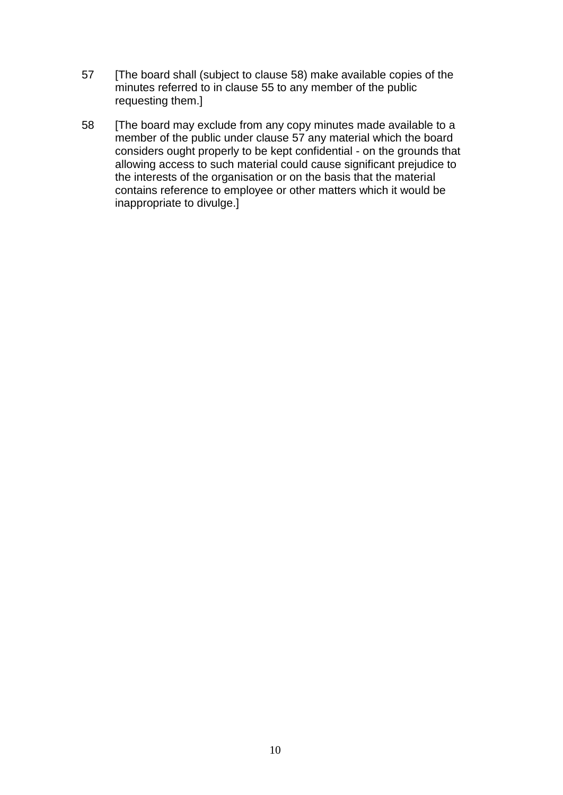- 57 [The board shall (subject to clause 58) make available copies of the minutes referred to in clause 55 to any member of the public requesting them.]
- 58 [The board may exclude from any copy minutes made available to a member of the public under clause 57 any material which the board considers ought properly to be kept confidential - on the grounds that allowing access to such material could cause significant prejudice to the interests of the organisation or on the basis that the material contains reference to employee or other matters which it would be inappropriate to divulge.]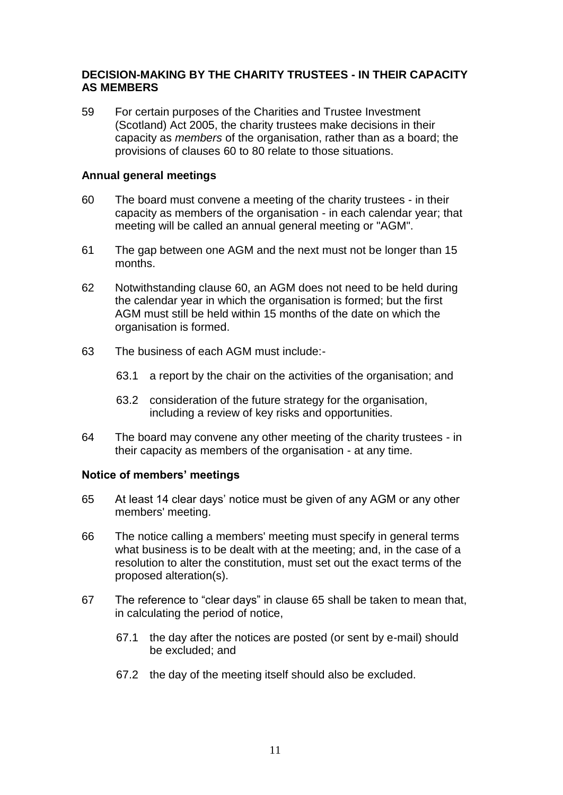### **DECISION-MAKING BY THE CHARITY TRUSTEES - IN THEIR CAPACITY AS MEMBERS**

59 For certain purposes of the Charities and Trustee Investment (Scotland) Act 2005, the charity trustees make decisions in their capacity as *members* of the organisation, rather than as a board; the provisions of clauses 60 to 80 relate to those situations.

#### **Annual general meetings**

- 60 The board must convene a meeting of the charity trustees in their capacity as members of the organisation - in each calendar year; that meeting will be called an annual general meeting or "AGM".
- 61 The gap between one AGM and the next must not be longer than 15 months.
- 62 Notwithstanding clause 60, an AGM does not need to be held during the calendar year in which the organisation is formed; but the first AGM must still be held within 15 months of the date on which the organisation is formed.
- 63 The business of each AGM must include:-
	- 63.1 a report by the chair on the activities of the organisation; and
	- 63.2 consideration of the future strategy for the organisation, including a review of key risks and opportunities.
- 64 The board may convene any other meeting of the charity trustees in their capacity as members of the organisation - at any time.

#### **Notice of members' meetings**

- 65 At least 14 clear days' notice must be given of any AGM or any other members' meeting.
- 66 The notice calling a members' meeting must specify in general terms what business is to be dealt with at the meeting; and, in the case of a resolution to alter the constitution, must set out the exact terms of the proposed alteration(s).
- 67 The reference to "clear days" in clause 65 shall be taken to mean that, in calculating the period of notice,
	- 67.1 the day after the notices are posted (or sent by e-mail) should be excluded; and
	- 67.2 the day of the meeting itself should also be excluded.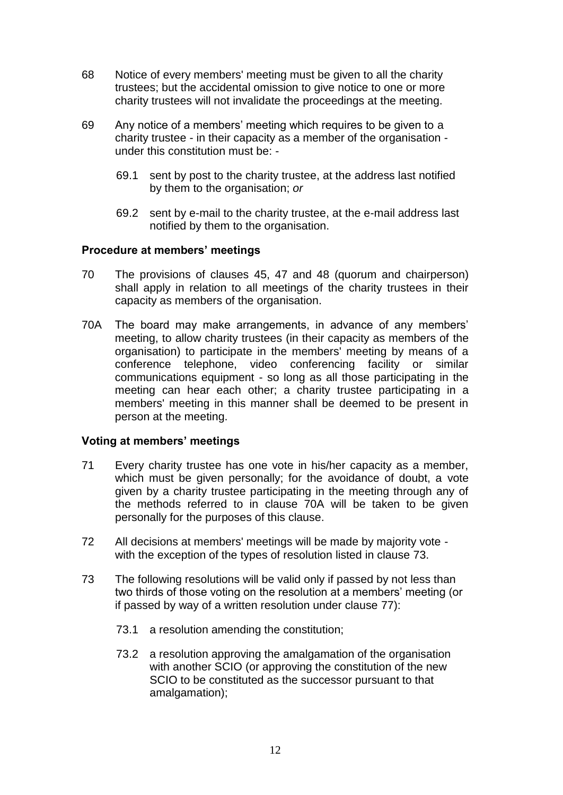- 68 Notice of every members' meeting must be given to all the charity trustees; but the accidental omission to give notice to one or more charity trustees will not invalidate the proceedings at the meeting.
- 69 Any notice of a members' meeting which requires to be given to a charity trustee - in their capacity as a member of the organisation under this constitution must be: -
	- 69.1 sent by post to the charity trustee, at the address last notified by them to the organisation; *or*
	- 69.2 sent by e-mail to the charity trustee, at the e-mail address last notified by them to the organisation.

#### **Procedure at members' meetings**

- 70 The provisions of clauses 45, 47 and 48 (quorum and chairperson) shall apply in relation to all meetings of the charity trustees in their capacity as members of the organisation.
- 70A The board may make arrangements, in advance of any members' meeting, to allow charity trustees (in their capacity as members of the organisation) to participate in the members' meeting by means of a conference telephone, video conferencing facility or similar communications equipment - so long as all those participating in the meeting can hear each other; a charity trustee participating in a members' meeting in this manner shall be deemed to be present in person at the meeting.

#### **Voting at members' meetings**

- 71 Every charity trustee has one vote in his/her capacity as a member, which must be given personally; for the avoidance of doubt, a vote given by a charity trustee participating in the meeting through any of the methods referred to in clause 70A will be taken to be given personally for the purposes of this clause.
- 72 All decisions at members' meetings will be made by majority vote with the exception of the types of resolution listed in clause 73.
- 73 The following resolutions will be valid only if passed by not less than two thirds of those voting on the resolution at a members' meeting (or if passed by way of a written resolution under clause 77):
	- 73.1 a resolution amending the constitution;
	- 73.2 a resolution approving the amalgamation of the organisation with another SCIO (or approving the constitution of the new SCIO to be constituted as the successor pursuant to that amalgamation);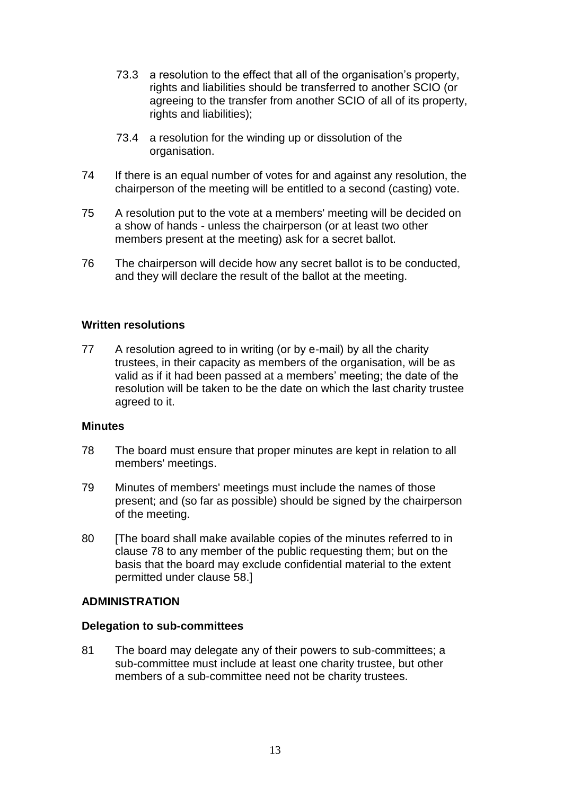- 73.3 a resolution to the effect that all of the organisation's property, rights and liabilities should be transferred to another SCIO (or agreeing to the transfer from another SCIO of all of its property, rights and liabilities);
- 73.4 a resolution for the winding up or dissolution of the organisation.
- 74 If there is an equal number of votes for and against any resolution, the chairperson of the meeting will be entitled to a second (casting) vote.
- 75 A resolution put to the vote at a members' meeting will be decided on a show of hands - unless the chairperson (or at least two other members present at the meeting) ask for a secret ballot.
- 76 The chairperson will decide how any secret ballot is to be conducted, and they will declare the result of the ballot at the meeting.

# **Written resolutions**

77 A resolution agreed to in writing (or by e-mail) by all the charity trustees, in their capacity as members of the organisation, will be as valid as if it had been passed at a members' meeting; the date of the resolution will be taken to be the date on which the last charity trustee agreed to it.

### **Minutes**

- 78 The board must ensure that proper minutes are kept in relation to all members' meetings.
- 79 Minutes of members' meetings must include the names of those present; and (so far as possible) should be signed by the chairperson of the meeting.
- 80 [The board shall make available copies of the minutes referred to in clause 78 to any member of the public requesting them; but on the basis that the board may exclude confidential material to the extent permitted under clause 58.]

### **ADMINISTRATION**

### **Delegation to sub-committees**

81 The board may delegate any of their powers to sub-committees; a sub-committee must include at least one charity trustee, but other members of a sub-committee need not be charity trustees.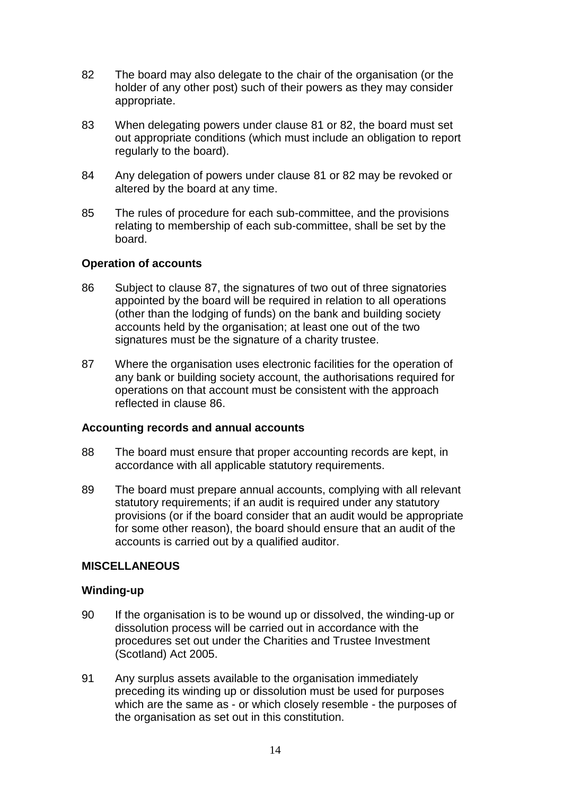- 82 The board may also delegate to the chair of the organisation (or the holder of any other post) such of their powers as they may consider appropriate.
- 83 When delegating powers under clause 81 or 82, the board must set out appropriate conditions (which must include an obligation to report regularly to the board).
- 84 Any delegation of powers under clause 81 or 82 may be revoked or altered by the board at any time.
- 85 The rules of procedure for each sub-committee, and the provisions relating to membership of each sub-committee, shall be set by the board.

# **Operation of accounts**

- 86 Subject to clause 87, the signatures of two out of three signatories appointed by the board will be required in relation to all operations (other than the lodging of funds) on the bank and building society accounts held by the organisation; at least one out of the two signatures must be the signature of a charity trustee.
- 87 Where the organisation uses electronic facilities for the operation of any bank or building society account, the authorisations required for operations on that account must be consistent with the approach reflected in clause 86.

### **Accounting records and annual accounts**

- 88 The board must ensure that proper accounting records are kept, in accordance with all applicable statutory requirements.
- 89 The board must prepare annual accounts, complying with all relevant statutory requirements; if an audit is required under any statutory provisions (or if the board consider that an audit would be appropriate for some other reason), the board should ensure that an audit of the accounts is carried out by a qualified auditor.

### **MISCELLANEOUS**

### **Winding-up**

- 90 If the organisation is to be wound up or dissolved, the winding-up or dissolution process will be carried out in accordance with the procedures set out under the Charities and Trustee Investment (Scotland) Act 2005.
- 91 Any surplus assets available to the organisation immediately preceding its winding up or dissolution must be used for purposes which are the same as - or which closely resemble - the purposes of the organisation as set out in this constitution.